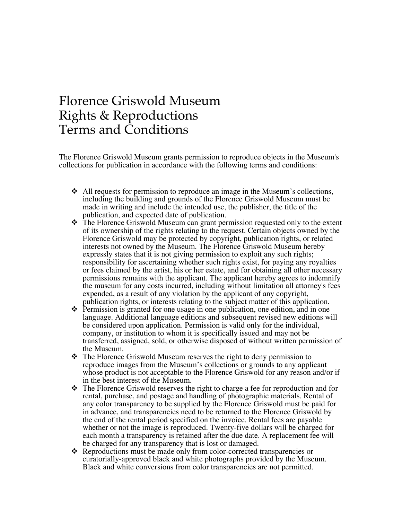## Florence Griswold Museum Rights & Reproductions Terms and Conditions

The Florence Griswold Museum grants permission to reproduce objects in the Museum's collections for publication in accordance with the following terms and conditions:

- $\cdot$  All requests for permission to reproduce an image in the Museum's collections, including the building and grounds of the Florence Griswold Museum must be made in writing and include the intended use, the publisher, the title of the publication, and expected date of publication.
- $\cdot \cdot$  The Florence Griswold Museum can grant permission requested only to the extent of its ownership of the rights relating to the request. Certain objects owned by the Florence Griswold may be protected by copyright, publication rights, or related interests not owned by the Museum. The Florence Griswold Museum hereby expressly states that it is not giving permission to exploit any such rights; responsibility for ascertaining whether such rights exist, for paying any royalties or fees claimed by the artist, his or her estate, and for obtaining all other necessary permissions remains with the applicant. The applicant hereby agrees to indemnify the museum for any costs incurred, including without limitation all attorney's fees expended, as a result of any violation by the applicant of any copyright, publication rights, or interests relating to the subject matter of this application.
- $\cdot \cdot$  Permission is granted for one usage in one publication, one edition, and in one language. Additional language editions and subsequent revised new editions will be considered upon application. Permission is valid only for the individual, company, or institution to whom it is specifically issued and may not be transferred, assigned, sold, or otherwise disposed of without written permission of the Museum.
- $\cdot \cdot$  The Florence Griswold Museum reserves the right to deny permission to reproduce images from the Museum's collections or grounds to any applicant whose product is not acceptable to the Florence Griswold for any reason and/or if in the best interest of the Museum.
- $\cdot \cdot$  The Florence Griswold reserves the right to charge a fee for reproduction and for rental, purchase, and postage and handling of photographic materials. Rental of any color transparency to be supplied by the Florence Griswold must be paid for in advance, and transparencies need to be returned to the Florence Griswold by the end of the rental period specified on the invoice. Rental fees are payable whether or not the image is reproduced. Twenty-five dollars will be charged for each month a transparency is retained after the due date. A replacement fee will be charged for any transparency that is lost or damaged.
- ❖ Reproductions must be made only from color-corrected transparencies or curatorially-approved black and white photographs provided by the Museum. Black and white conversions from color transparencies are not permitted.